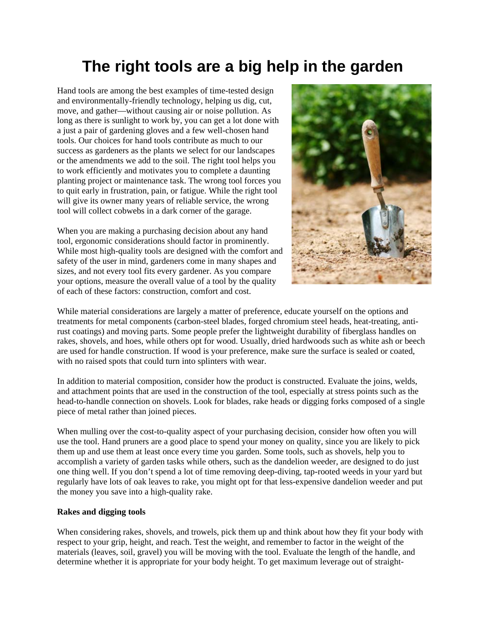## **The right tools are a big help in the garden**

Hand tools are among the best examples of time-tested design and environmentally-friendly technology, helping us dig, cut, move, and gather—without causing air or noise pollution. As long as there is sunlight to work by, you can get a lot done with a just a pair of gardening gloves and a few well-chosen hand tools. Our choices for hand tools contribute as much to our success as gardeners as the plants we select for our landscapes or the amendments we add to the soil. The right tool helps you to work efficiently and motivates you to complete a daunting planting project or maintenance task. The wrong tool forces you to quit early in frustration, pain, or fatigue. While the right tool will give its owner many years of reliable service, the wrong tool will collect cobwebs in a dark corner of the garage.

When you are making a purchasing decision about any hand tool, ergonomic considerations should factor in prominently. While most high-quality tools are designed with the comfort and safety of the user in mind, gardeners come in many shapes and sizes, and not every tool fits every gardener. As you compare your options, measure the overall value of a tool by the quality of each of these factors: construction, comfort and cost.



While material considerations are largely a matter of preference, educate yourself on the options and treatments for metal components (carbon-steel blades, forged chromium steel heads, heat-treating, antirust coatings) and moving parts. Some people prefer the lightweight durability of fiberglass handles on rakes, shovels, and hoes, while others opt for wood. Usually, dried hardwoods such as white ash or beech are used for handle construction. If wood is your preference, make sure the surface is sealed or coated, with no raised spots that could turn into splinters with wear.

In addition to material composition, consider how the product is constructed. Evaluate the joins, welds, and attachment points that are used in the construction of the tool, especially at stress points such as the head-to-handle connection on shovels. Look for blades, rake heads or digging forks composed of a single piece of metal rather than joined pieces.

When mulling over the cost-to-quality aspect of your purchasing decision, consider how often you will use the tool. Hand pruners are a good place to spend your money on quality, since you are likely to pick them up and use them at least once every time you garden. Some tools, such as shovels, help you to accomplish a variety of garden tasks while others, such as the dandelion weeder, are designed to do just one thing well. If you don't spend a lot of time removing deep-diving, tap-rooted weeds in your yard but regularly have lots of oak leaves to rake, you might opt for that less-expensive dandelion weeder and put the money you save into a high-quality rake.

## **Rakes and digging tools**

When considering rakes, shovels, and trowels, pick them up and think about how they fit your body with respect to your grip, height, and reach. Test the weight, and remember to factor in the weight of the materials (leaves, soil, gravel) you will be moving with the tool. Evaluate the length of the handle, and determine whether it is appropriate for your body height. To get maximum leverage out of straight